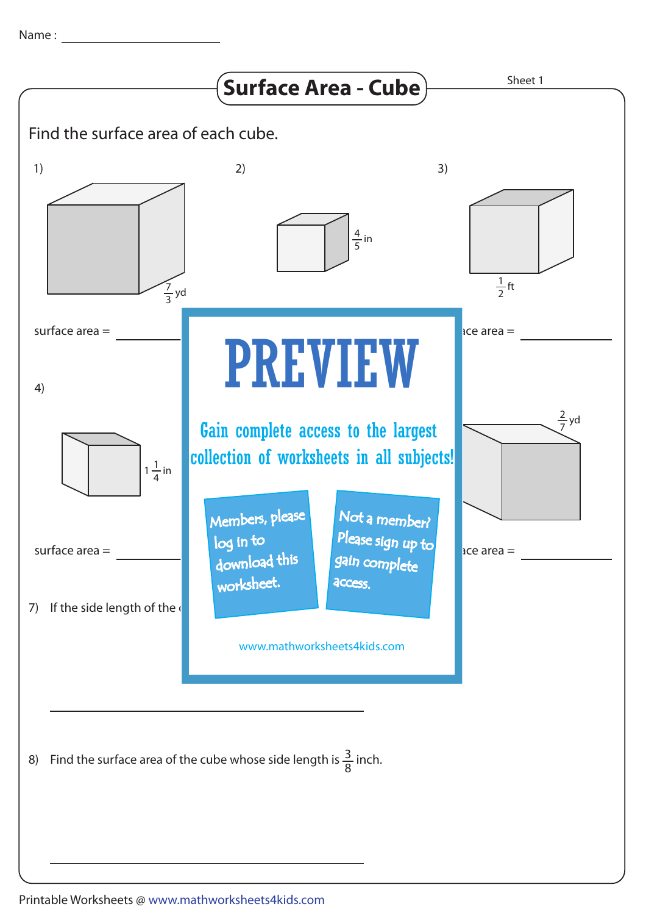